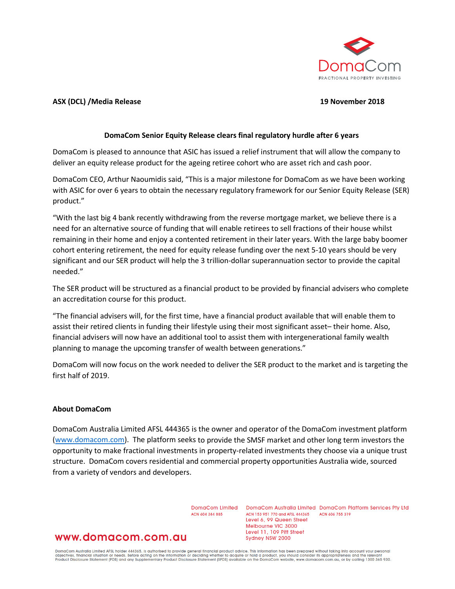

# **ASX (DCL) /Media Release 19 November 2018**

# **DomaCom Senior Equity Release clears final regulatory hurdle after 6 years**

DomaCom is pleased to announce that ASIC has issued a relief instrument that will allow the company to deliver an equity release product for the ageing retiree cohort who are asset rich and cash poor.

DomaCom CEO, Arthur Naoumidis said, "This is a major milestone for DomaCom as we have been working with ASIC for over 6 years to obtain the necessary regulatory framework for our Senior Equity Release (SER) product."

"With the last big 4 bank recently withdrawing from the reverse mortgage market, we believe there is a need for an alternative source of funding that will enable retirees to sell fractions of their house whilst remaining in their home and enjoy a contented retirement in their later years. With the large baby boomer cohort entering retirement, the need for equity release funding over the next 5-10 years should be very significant and our SER product will help the 3 trillion-dollar superannuation sector to provide the capital needed."

The SER product will be structured as a financial product to be provided by financial advisers who complete an accreditation course for this product.

"The financial advisers will, for the first time, have a financial product available that will enable them to assist their retired clients in funding their lifestyle using their most significant asset– their home. Also, financial advisers will now have an additional tool to assist them with intergenerational family wealth planning to manage the upcoming transfer of wealth between generations."

DomaCom will now focus on the work needed to deliver the SER product to the market and is targeting the first half of 2019.

### **About DomaCom**

DomaCom Australia Limited AFSL 444365 is the owner and operator of the DomaCom investment platform [\(www.domacom.com\)](https://apac01.safelinks.protection.outlook.com/?url=http%3A%2F%2Fwww.domacom.com&data=02%7C01%7Carthur.naoumidis%40domacom.com.au%7Cc245cb22160a4e55e83008d64dc4bc14%7C39f342c447984b4aa5c878207a6c9250%7C0%7C0%7C636781904758750055&sdata=xZl2OshWgg1gvhfP2gopo114wQ6Y8KSrdY%2Fo7pR%2Fifs%3D&reserved=0). The platform seeks to provide the SMSF market and other long term investors the opportunity to make fractional investments in property-related investments they choose via a unique trust structure. DomaCom covers residential and commercial property opportunities Australia wide, sourced from a variety of vendors and developers.

ACN 604 384 885

DomaCom Limited DomaCom Australia Limited DomaCom Platform Services Pty Ltd ACN 153 951 770 and AFSL 444365 ACN 606 755 319 Level 6, 99 Queen Street Melbourne VIC 3000 Level 11, 109 Pitt Street Sydney NSW 2000

# www.domacom.com.au

DomaCom Australia Limited AFSL holder 444365, is authorised to provide general financial product advice. This information has been prepared without taking into account your personal<br>objectives, financial situation or needs